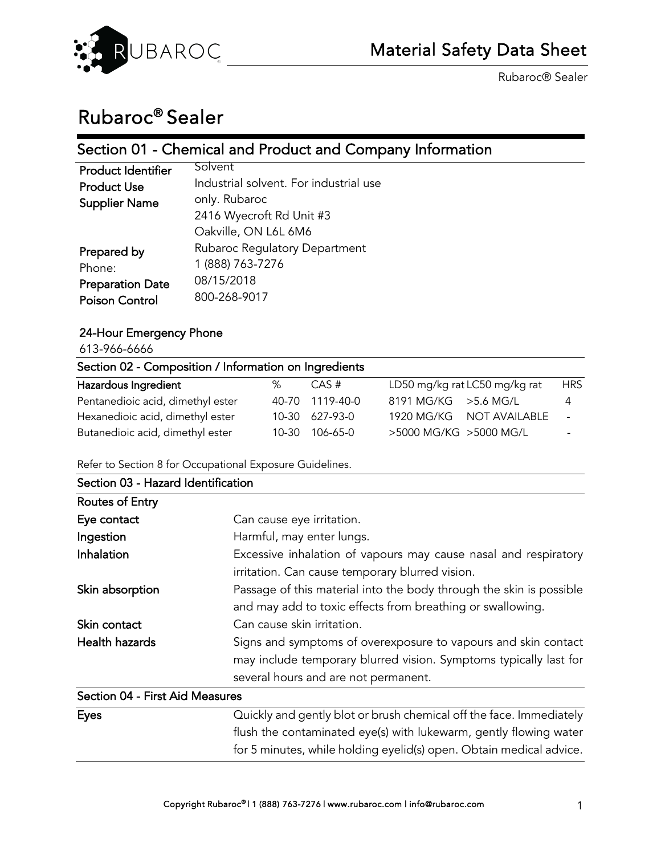

# Rubaroc® Sealer

## Section 01 - Chemical and Product and Company Information

| <b>Product Identifier</b> | Solvent                                |
|---------------------------|----------------------------------------|
| <b>Product Use</b>        | Industrial solvent. For industrial use |
| <b>Supplier Name</b>      | only. Rubaroc                          |
|                           | 2416 Wyecroft Rd Unit #3               |
|                           | Oakville, ON L6L 6M6                   |
| Prepared by               | Rubaroc Regulatory Department          |
| Phone:                    | 1 (888) 763-7276                       |
| <b>Preparation Date</b>   | 08/15/2018                             |
| <b>Poison Control</b>     | 800-268-9017                           |
|                           |                                        |

## 24-Hour Emergency Phone

613-966-6666

| Section 02 - Composition / Information on Ingredients |   |                 |                               |            |  |  |
|-------------------------------------------------------|---|-----------------|-------------------------------|------------|--|--|
| Hazardous Ingredient                                  | % | CAS #           | LD50 mg/kg rat LC50 mg/kg rat | <b>HRS</b> |  |  |
| Pentanedioic acid, dimethyl ester                     |   | 40-70 1119-40-0 | $8191$ MG/KG $>$ 5.6 MG/L     | 4          |  |  |
| Hexanedioic acid, dimethyl ester                      |   | 10-30 627-93-0  | 1920 MG/KG NOT AVAILABLE      | $\sim$     |  |  |
| Butanedioic acid, dimethyl ester                      |   | 10-30 106-65-0  | >5000 MG/KG >5000 MG/L        |            |  |  |

Refer to Section 8 for Occupational Exposure Guidelines.

| Section 03 - Hazard Identification |                                                                     |
|------------------------------------|---------------------------------------------------------------------|
| Routes of Entry                    |                                                                     |
| Eye contact                        | Can cause eye irritation.                                           |
| Ingestion                          | Harmful, may enter lungs.                                           |
| Inhalation                         | Excessive inhalation of vapours may cause nasal and respiratory     |
|                                    | irritation. Can cause temporary blurred vision.                     |
| Skin absorption                    | Passage of this material into the body through the skin is possible |
|                                    | and may add to toxic effects from breathing or swallowing.          |
| Skin contact                       | Can cause skin irritation.                                          |
| <b>Health hazards</b>              | Signs and symptoms of overexposure to vapours and skin contact      |
|                                    | may include temporary blurred vision. Symptoms typically last for   |
|                                    | several hours and are not permanent.                                |
| Section 04 - First Aid Measures    |                                                                     |
| <b>Eves</b>                        | Quickly and gently blot or brush chemical off the face. Immediately |

| Eyes | Quickly and gently blot or brush chemical off the face. Immediately |
|------|---------------------------------------------------------------------|
|      | flush the contaminated eye(s) with lukewarm, gently flowing water   |
|      | for 5 minutes, while holding eyelid(s) open. Obtain medical advice. |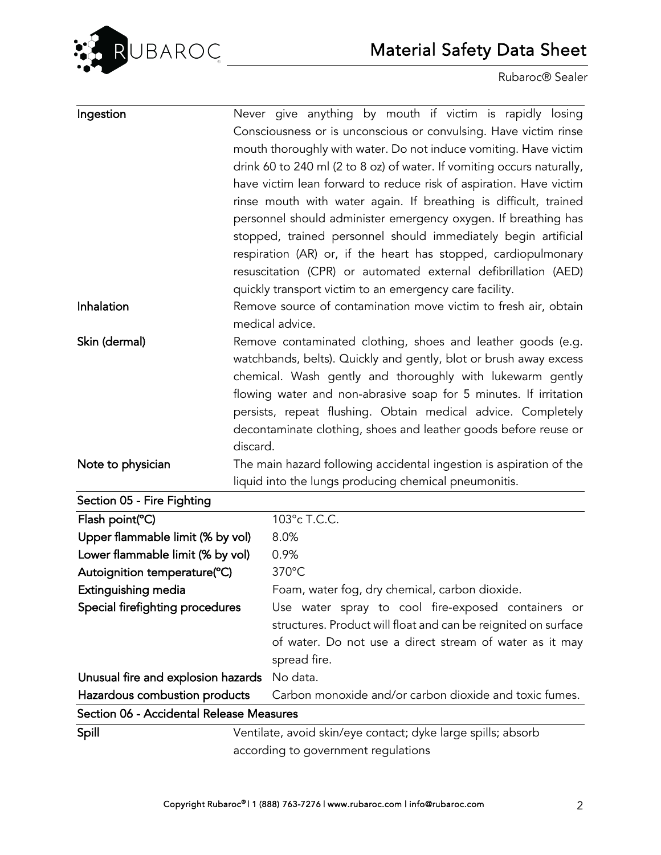

| Ingestion                                | Never give anything by mouth if victim is rapidly losing                                            |
|------------------------------------------|-----------------------------------------------------------------------------------------------------|
|                                          | Consciousness or is unconscious or convulsing. Have victim rinse                                    |
|                                          | mouth thoroughly with water. Do not induce vomiting. Have victim                                    |
|                                          | drink 60 to 240 ml (2 to 8 oz) of water. If vomiting occurs naturally,                              |
|                                          | have victim lean forward to reduce risk of aspiration. Have victim                                  |
|                                          | rinse mouth with water again. If breathing is difficult, trained                                    |
|                                          | personnel should administer emergency oxygen. If breathing has                                      |
|                                          | stopped, trained personnel should immediately begin artificial                                      |
|                                          | respiration (AR) or, if the heart has stopped, cardiopulmonary                                      |
|                                          | resuscitation (CPR) or automated external defibrillation (AED)                                      |
|                                          | quickly transport victim to an emergency care facility.                                             |
| Inhalation                               | Remove source of contamination move victim to fresh air, obtain                                     |
|                                          | medical advice.                                                                                     |
| Skin (dermal)                            | Remove contaminated clothing, shoes and leather goods (e.g.                                         |
|                                          | watchbands, belts). Quickly and gently, blot or brush away excess                                   |
|                                          | chemical. Wash gently and thoroughly with lukewarm gently                                           |
|                                          | flowing water and non-abrasive soap for 5 minutes. If irritation                                    |
|                                          | persists, repeat flushing. Obtain medical advice. Completely                                        |
|                                          | decontaminate clothing, shoes and leather goods before reuse or                                     |
|                                          | discard.                                                                                            |
| Note to physician                        | The main hazard following accidental ingestion is aspiration of the                                 |
|                                          | liquid into the lungs producing chemical pneumonitis.                                               |
| Section 05 - Fire Fighting               |                                                                                                     |
| Flash point(°C)                          | 103°c T.C.C.                                                                                        |
| Upper flammable limit (% by vol)         | 8.0%                                                                                                |
| Lower flammable limit (% by vol)         | 0.9%                                                                                                |
| Autoignition temperature(°C)             | 370°C                                                                                               |
| Extinguishing media                      | Foam, water fog, dry chemical, carbon dioxide.                                                      |
| Special firefighting procedures          | Use water spray to cool fire-exposed containers or                                                  |
|                                          | structures. Product will float and can be reignited on surface                                      |
|                                          | of water. Do not use a direct stream of water as it may                                             |
|                                          | spread fire.                                                                                        |
| Unusual fire and explosion hazards       | No data.                                                                                            |
| Hazardous combustion products            | Carbon monoxide and/or carbon dioxide and toxic fumes.                                              |
| Section 06 - Accidental Release Measures |                                                                                                     |
|                                          |                                                                                                     |
| Spill                                    | Ventilate, avoid skin/eye contact; dyke large spills; absorb<br>according to government regulations |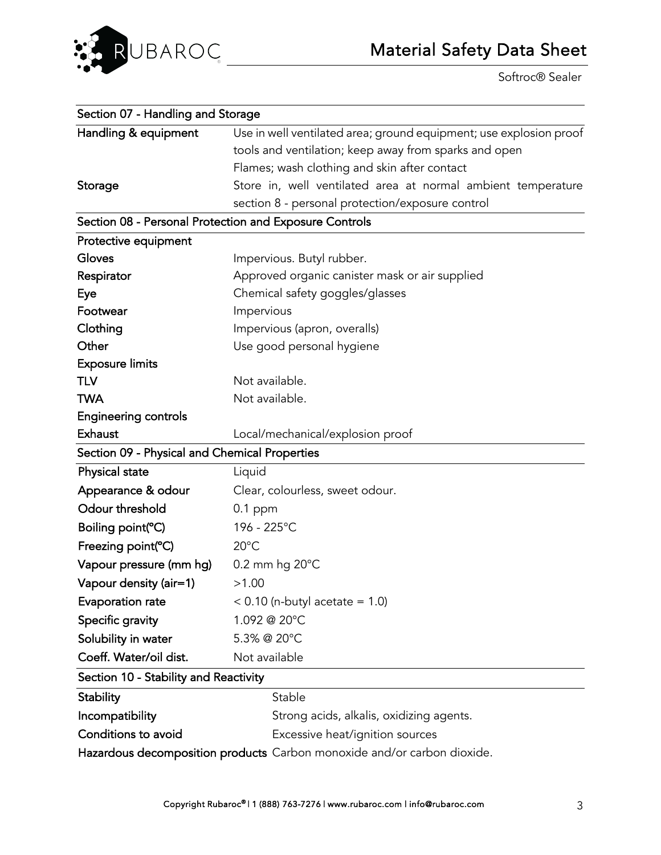

Softroc® Sealer

| Section 07 - Handling and Storage             |                                                                         |
|-----------------------------------------------|-------------------------------------------------------------------------|
| Handling & equipment                          | Use in well ventilated area; ground equipment; use explosion proof      |
|                                               | tools and ventilation; keep away from sparks and open                   |
|                                               | Flames; wash clothing and skin after contact                            |
| Storage                                       | Store in, well ventilated area at normal ambient temperature            |
|                                               | section 8 - personal protection/exposure control                        |
|                                               | Section 08 - Personal Protection and Exposure Controls                  |
| Protective equipment                          |                                                                         |
| Gloves                                        | Impervious. Butyl rubber.                                               |
| Respirator                                    | Approved organic canister mask or air supplied                          |
| Eye                                           | Chemical safety goggles/glasses                                         |
| Footwear                                      | Impervious                                                              |
| Clothing                                      | Impervious (apron, overalls)                                            |
| Other                                         | Use good personal hygiene                                               |
| <b>Exposure limits</b>                        |                                                                         |
| <b>TLV</b>                                    | Not available.                                                          |
| <b>TWA</b>                                    | Not available.                                                          |
| <b>Engineering controls</b>                   |                                                                         |
| <b>Exhaust</b>                                | Local/mechanical/explosion proof                                        |
| Section 09 - Physical and Chemical Properties |                                                                         |
| Physical state                                | Liquid                                                                  |
| Appearance & odour                            | Clear, colourless, sweet odour.                                         |
| Odour threshold                               | $0.1$ ppm                                                               |
| Boiling point(°C)                             | 196 - 225°C                                                             |
| Freezing point(°C)                            | $20^{\circ}$ C                                                          |
| Vapour pressure (mm hg)                       | 0.2 mm hg 20°C                                                          |
| Vapour density (air=1)                        | >1.00                                                                   |
| Evaporation rate                              | $< 0.10$ (n-butyl acetate = 1.0)                                        |
| Specific gravity                              | 1.092 @ 20°C                                                            |
| Solubility in water                           | 5.3% @ 20°C                                                             |
| Coeff. Water/oil dist.                        | Not available                                                           |
| Section 10 - Stability and Reactivity         |                                                                         |
| <b>Stability</b>                              | Stable                                                                  |
| Incompatibility                               | Strong acids, alkalis, oxidizing agents.                                |
| Conditions to avoid                           | Excessive heat/ignition sources                                         |
|                                               | Hazardous decomposition products Carbon monoxide and/or carbon dioxide. |
|                                               |                                                                         |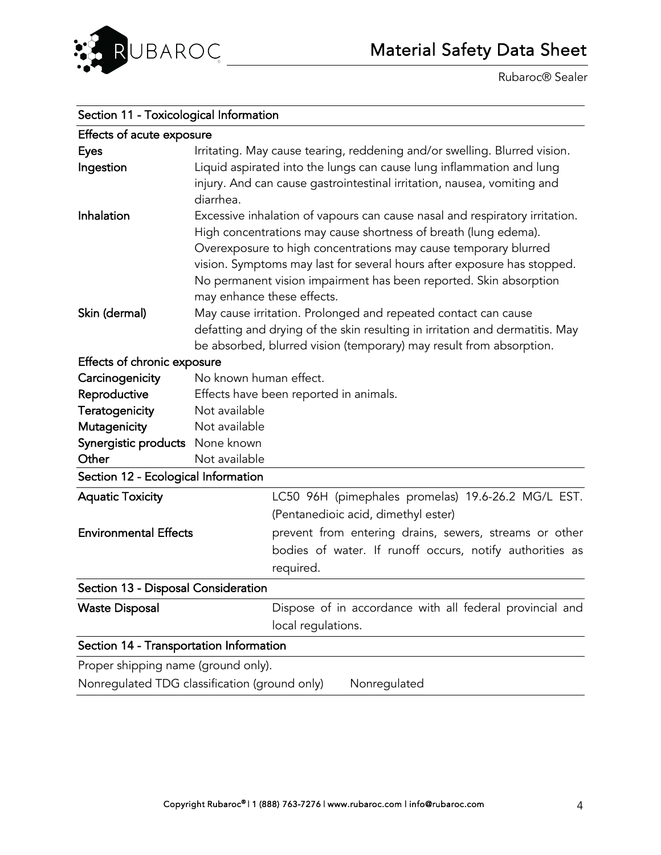

| Section 11 - Toxicological Information  |                                                                                                                                                                                                                                                                                                                                                                                                 |  |
|-----------------------------------------|-------------------------------------------------------------------------------------------------------------------------------------------------------------------------------------------------------------------------------------------------------------------------------------------------------------------------------------------------------------------------------------------------|--|
| Effects of acute exposure               |                                                                                                                                                                                                                                                                                                                                                                                                 |  |
| <b>Eyes</b>                             | Irritating. May cause tearing, reddening and/or swelling. Blurred vision.                                                                                                                                                                                                                                                                                                                       |  |
| Ingestion                               | Liquid aspirated into the lungs can cause lung inflammation and lung<br>injury. And can cause gastrointestinal irritation, nausea, vomiting and<br>diarrhea.                                                                                                                                                                                                                                    |  |
| Inhalation                              | Excessive inhalation of vapours can cause nasal and respiratory irritation.<br>High concentrations may cause shortness of breath (lung edema).<br>Overexposure to high concentrations may cause temporary blurred<br>vision. Symptoms may last for several hours after exposure has stopped.<br>No permanent vision impairment has been reported. Skin absorption<br>may enhance these effects. |  |
| Skin (dermal)                           | May cause irritation. Prolonged and repeated contact can cause<br>defatting and drying of the skin resulting in irritation and dermatitis. May<br>be absorbed, blurred vision (temporary) may result from absorption.                                                                                                                                                                           |  |
| Effects of chronic exposure             |                                                                                                                                                                                                                                                                                                                                                                                                 |  |
| Carcinogenicity                         | No known human effect.                                                                                                                                                                                                                                                                                                                                                                          |  |
| Reproductive                            | Effects have been reported in animals.                                                                                                                                                                                                                                                                                                                                                          |  |
| Teratogenicity                          | Not available                                                                                                                                                                                                                                                                                                                                                                                   |  |
| Mutagenicity                            | Not available                                                                                                                                                                                                                                                                                                                                                                                   |  |
| Synergistic products None known         |                                                                                                                                                                                                                                                                                                                                                                                                 |  |
| Other                                   | Not available                                                                                                                                                                                                                                                                                                                                                                                   |  |
| Section 12 - Ecological Information     |                                                                                                                                                                                                                                                                                                                                                                                                 |  |
| <b>Aquatic Toxicity</b>                 | LC50 96H (pimephales promelas) 19.6-26.2 MG/L EST.                                                                                                                                                                                                                                                                                                                                              |  |
|                                         | (Pentanedioic acid, dimethyl ester)                                                                                                                                                                                                                                                                                                                                                             |  |
| <b>Environmental Effects</b>            | prevent from entering drains, sewers, streams or other                                                                                                                                                                                                                                                                                                                                          |  |
|                                         | bodies of water. If runoff occurs, notify authorities as<br>required.                                                                                                                                                                                                                                                                                                                           |  |
| Section 13 - Disposal Consideration     |                                                                                                                                                                                                                                                                                                                                                                                                 |  |
| <b>Waste Disposal</b>                   | Dispose of in accordance with all federal provincial and<br>local regulations.                                                                                                                                                                                                                                                                                                                  |  |
| Section 14 - Transportation Information |                                                                                                                                                                                                                                                                                                                                                                                                 |  |
| Proper shipping name (ground only).     |                                                                                                                                                                                                                                                                                                                                                                                                 |  |
|                                         | Nonregulated TDG classification (ground only)<br>Nonregulated                                                                                                                                                                                                                                                                                                                                   |  |